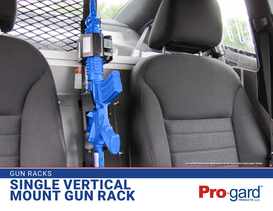

## SINGLE VERTICAL MOUNT GUN RACK GUN RACKS